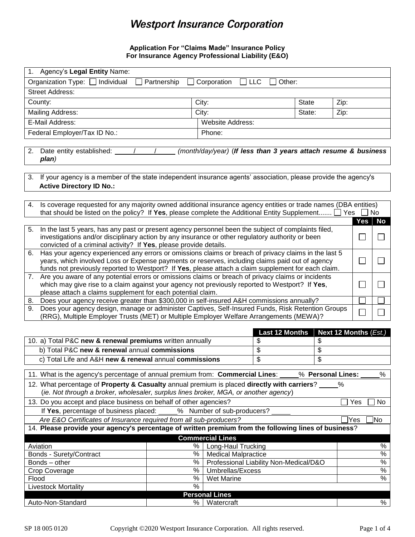# **Westport Insurance Corporation**

## **Application For "Claims Made" Insurance Policy For Insurance Agency Professional Liability (E&O)**

| Individual<br>Organization Type:  <br>Partnership<br>Corporation<br><b>LLC</b><br>Other:                                                                                                                                                                                                                                       |               |                                                                 |    |              |      |               |
|--------------------------------------------------------------------------------------------------------------------------------------------------------------------------------------------------------------------------------------------------------------------------------------------------------------------------------|---------------|-----------------------------------------------------------------|----|--------------|------|---------------|
| <b>Street Address:</b>                                                                                                                                                                                                                                                                                                         |               |                                                                 |    |              |      |               |
| County:                                                                                                                                                                                                                                                                                                                        | City:         |                                                                 |    | <b>State</b> | Zip: |               |
| <b>Mailing Address:</b>                                                                                                                                                                                                                                                                                                        |               | City:                                                           |    | State:       | Zip: |               |
| E-Mail Address:                                                                                                                                                                                                                                                                                                                |               | Website Address:                                                |    |              |      |               |
| Federal Employer/Tax ID No.:                                                                                                                                                                                                                                                                                                   |               | Phone:                                                          |    |              |      |               |
|                                                                                                                                                                                                                                                                                                                                |               |                                                                 |    |              |      |               |
| Date entity established:<br>2.<br>plan)                                                                                                                                                                                                                                                                                        |               | (month/day/year) (If less than 3 years attach resume & business |    |              |      |               |
| If your agency is a member of the state independent insurance agents' association, please provide the agency's<br>3.<br><b>Active Directory ID No.:</b>                                                                                                                                                                        |               |                                                                 |    |              |      |               |
| Is coverage requested for any majority owned additional insurance agency entities or trade names (DBA entities)<br>4.<br>that should be listed on the policy? If Yes, please complete the Additional Entity Supplement $\Box$ Yes $\Box$ No                                                                                    |               |                                                                 |    |              |      |               |
|                                                                                                                                                                                                                                                                                                                                |               |                                                                 |    |              | Yes  | No            |
| In the last 5 years, has any past or present agency personnel been the subject of complaints filed,<br>5.<br>investigations and/or disciplinary action by any insurance or other regulatory authority or been<br>convicted of a criminal activity? If Yes, please provide details.                                             |               |                                                                 |    |              |      |               |
| Has your agency experienced any errors or omissions claims or breach of privacy claims in the last 5<br>6.<br>years, which involved Loss or Expense payments or reserves, including claims paid out of agency<br>$\Box$<br>funds not previously reported to Westport? If Yes, please attach a claim supplement for each claim. |               |                                                                 |    |              |      |               |
| 7. Are you aware of any potential errors or omissions claims or breach of privacy claims or incidents<br>which may give rise to a claim against your agency not previously reported to Westport? If Yes,<br>please attach a claims supplement for each potential claim.                                                        |               |                                                                 |    |              |      |               |
| Does your agency receive greater than \$300,000 in self-insured A&H commissions annually?<br>8.                                                                                                                                                                                                                                |               |                                                                 |    |              |      |               |
| Does your agency design, manage or administer Captives, Self-Insured Funds, Risk Retention Groups<br>9.<br>(RRG), Multiple Employer Trusts (MET) or Multiple Employer Welfare Arrangements (MEWA)?                                                                                                                             |               |                                                                 |    |              |      |               |
| <b>Last 12 Months</b><br>Next 12 Months (Est.)                                                                                                                                                                                                                                                                                 |               |                                                                 |    |              |      |               |
| 10. a) Total P&C new & renewal premiums written annually                                                                                                                                                                                                                                                                       |               |                                                                 | \$ | \$           |      |               |
| b) Total P&C new & renewal annual commissions<br>\$<br>\$                                                                                                                                                                                                                                                                      |               |                                                                 |    |              |      |               |
| c) Total Life and A&H new & renewal annual commissions                                                                                                                                                                                                                                                                         |               |                                                                 | \$ | \$           |      |               |
|                                                                                                                                                                                                                                                                                                                                |               |                                                                 |    |              |      |               |
| 11. What is the agency's percentage of annual premium from: Commercial Lines:<br>% Personal Lines:<br>%                                                                                                                                                                                                                        |               |                                                                 |    |              |      |               |
| 12. What percentage of Property & Casualty annual premium is placed directly with carriers?<br>%<br>(ie. Not through a broker, wholesaler, surplus lines broker, MGA, or another agency)                                                                                                                                       |               |                                                                 |    |              |      |               |
| 13. Do you accept and place business on behalf of other agencies?<br>Yes<br>No                                                                                                                                                                                                                                                 |               |                                                                 |    |              |      |               |
| % Number of sub-producers?<br>If Yes, percentage of business placed:<br>Are E&O Certificates of Insurance required from all sub-producers?<br>Yes]<br>]No                                                                                                                                                                      |               |                                                                 |    |              |      |               |
| 14. Please provide your agency's percentage of written premium from the following lines of business?                                                                                                                                                                                                                           |               |                                                                 |    |              |      |               |
| <b>Commercial Lines</b>                                                                                                                                                                                                                                                                                                        |               |                                                                 |    |              |      |               |
| Aviation                                                                                                                                                                                                                                                                                                                       | $\%$          | Long-Haul Trucking                                              |    |              |      | %             |
| Bonds - Surety/Contract                                                                                                                                                                                                                                                                                                        | $\frac{8}{6}$ | <b>Medical Malpractice</b>                                      |    |              |      | $\frac{0}{6}$ |
| Bonds - other                                                                                                                                                                                                                                                                                                                  | $\%$          | Professional Liability Non-Medical/D&O                          |    |              |      | $\frac{0}{6}$ |
| Crop Coverage                                                                                                                                                                                                                                                                                                                  | $\%$          | Umbrellas/Excess                                                |    |              |      | $\frac{0}{6}$ |
| Flood<br><b>Livestock Mortality</b>                                                                                                                                                                                                                                                                                            | $\%$<br>$\%$  | Wet Marine                                                      |    |              |      | $\%$          |
|                                                                                                                                                                                                                                                                                                                                |               | <b>Personal Lines</b>                                           |    |              |      |               |

1. Agency's **Legal Entity** Name:

Auto-Non-Standard  $\frac{96}{100}$  Watercraft %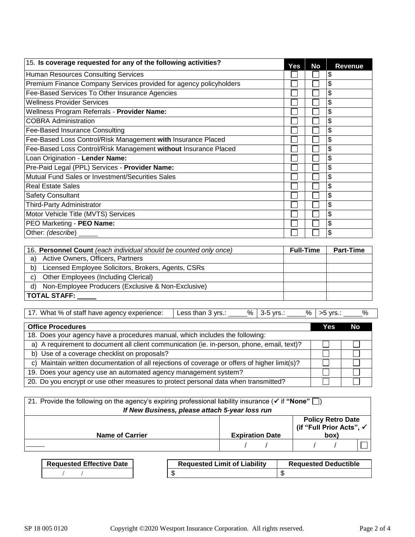| 15. Is coverage requested for any of the following activities?     | Yes | <b>No</b> | <b>Revenue</b> |
|--------------------------------------------------------------------|-----|-----------|----------------|
| Human Resources Consulting Services                                |     |           | \$             |
| Premium Finance Company Services provided for agency policyholders |     |           | \$             |
| Fee-Based Services To Other Insurance Agencies                     |     |           | \$             |
| <b>Wellness Provider Services</b>                                  |     |           | \$             |
| Wellness Program Referrals - Provider Name:                        |     |           | \$             |
| <b>COBRA Administration</b>                                        |     |           | \$             |
| Fee-Based Insurance Consulting                                     |     |           | \$             |
| Fee-Based Loss Control/Risk Management with Insurance Placed       |     |           | \$             |
| Fee-Based Loss Control/Risk Management without Insurance Placed    |     |           | \$             |
| Loan Origination - Lender Name:                                    |     |           | \$             |
| Pre-Paid Legal (PPL) Services - Provider Name:                     |     |           | \$             |
| Mutual Fund Sales or Investment/Securities Sales                   |     |           | \$             |
| <b>Real Estate Sales</b>                                           |     |           | \$             |
| <b>Safety Consultant</b>                                           |     |           | \$             |
| Third-Party Administrator                                          |     |           | \$             |
| Motor Vehicle Title (MVTS) Services                                |     |           | \$             |
| PEO Marketing - PEO Name:                                          |     |           | \$             |
| Other: (describe)                                                  |     |           | \$             |

|    | 16. Personnel Count (each individual should be counted only once) | <b>Full-Time</b> | <b>Part-Time</b> |
|----|-------------------------------------------------------------------|------------------|------------------|
| a) | Active Owners, Officers, Partners                                 |                  |                  |
| b) | Licensed Employee Solicitors, Brokers, Agents, CSRs               |                  |                  |
| C) | Other Employees (Including Clerical)                              |                  |                  |
| d) | Non-Employee Producers (Exclusive & Non-Exclusive)                |                  |                  |
|    | TOTAL STAFF:                                                      |                  |                  |

| 17. What % of staff have agency experience: | $\mathsf{L}$ Less than 3 yrs | $%$ 3-5 yrs. | $%$ $>5$ vrs.: |  |
|---------------------------------------------|------------------------------|--------------|----------------|--|
|                                             |                              |              |                |  |

| <b>Office Procedures</b>                                                                      | Yes | <b>No</b> |
|-----------------------------------------------------------------------------------------------|-----|-----------|
| 18. Does your agency have a procedures manual, which includes the following:                  |     |           |
| a) A requirement to document all client communication (ie. in-person, phone, email, text)?    |     |           |
| b) Use of a coverage checklist on proposals?                                                  |     |           |
| c) Maintain written documentation of all rejections of coverage or offers of higher limit(s)? |     |           |
| 19. Does your agency use an automated agency management system?                               |     |           |
| 20. Do you encrypt or use other measures to protect personal data when transmitted?           |     |           |

| 21. Provide the following on the agency's expiring professional liability insurance ( $\checkmark$ if "None" $\Box$ )<br>If New Business, please attach 5-year loss run |                                                    |  |      |                          |  |
|-------------------------------------------------------------------------------------------------------------------------------------------------------------------------|----------------------------------------------------|--|------|--------------------------|--|
| <b>Name of Carrier</b>                                                                                                                                                  | (if "Full Prior Acts", √<br><b>Expiration Date</b> |  | (box | <b>Policy Retro Date</b> |  |
|                                                                                                                                                                         |                                                    |  |      |                          |  |
|                                                                                                                                                                         |                                                    |  |      |                          |  |

| <b>Requested Effective Date</b> | <b>Requested Limit of Liability</b> | <b>Requested Deductible</b> |
|---------------------------------|-------------------------------------|-----------------------------|
|                                 |                                     |                             |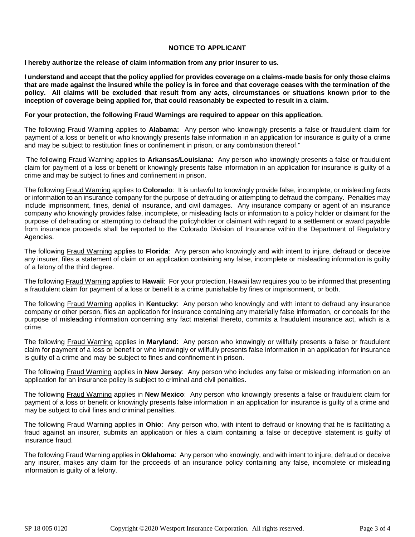### **NOTICE TO APPLICANT**

**I hereby authorize the release of claim information from any prior insurer to us.**

**I understand and accept that the policy applied for provides coverage on a claims-made basis for only those claims that are made against the insured while the policy is in force and that coverage ceases with the termination of the policy. All claims will be excluded that result from any acts, circumstances or situations known prior to the inception of coverage being applied for, that could reasonably be expected to result in a claim.** 

#### **For your protection, the following Fraud Warnings are required to appear on this application.**

The following Fraud Warning applies to **Alabama:** Any person who knowingly presents a false or fraudulent claim for payment of a loss or benefit or who knowingly presents false information in an application for insurance is guilty of a crime and may be subject to restitution fines or confinement in prison, or any combination thereof."

The following Fraud Warning applies to **Arkansas/Louisiana**: Any person who knowingly presents a false or fraudulent claim for payment of a loss or benefit or knowingly presents false information in an application for insurance is guilty of a crime and may be subject to fines and confinement in prison.

The following Fraud Warning applies to **Colorado**: It is unlawful to knowingly provide false, incomplete, or misleading facts or information to an insurance company for the purpose of defrauding or attempting to defraud the company. Penalties may include imprisonment, fines, denial of insurance, and civil damages. Any insurance company or agent of an insurance company who knowingly provides false, incomplete, or misleading facts or information to a policy holder or claimant for the purpose of defrauding or attempting to defraud the policyholder or claimant with regard to a settlement or award payable from insurance proceeds shall be reported to the Colorado Division of Insurance within the Department of Regulatory Agencies.

The following Fraud Warning applies to **Florida**: Any person who knowingly and with intent to injure, defraud or deceive any insurer, files a statement of claim or an application containing any false, incomplete or misleading information is guilty of a felony of the third degree.

The following Fraud Warning applies to **Hawaii**: For your protection, Hawaii law requires you to be informed that presenting a fraudulent claim for payment of a loss or benefit is a crime punishable by fines or imprisonment, or both.

The following Fraud Warning applies in **Kentucky**: Any person who knowingly and with intent to defraud any insurance company or other person, files an application for insurance containing any materially false information, or conceals for the purpose of misleading information concerning any fact material thereto, commits a fraudulent insurance act, which is a crime.

The following Fraud Warning applies in **Maryland**: Any person who knowingly or willfully presents a false or fraudulent claim for payment of a loss or benefit or who knowingly or willfully presents false information in an application for insurance is guilty of a crime and may be subject to fines and confinement in prison.

The following Fraud Warning applies in **New Jersey**: Any person who includes any false or misleading information on an application for an insurance policy is subject to criminal and civil penalties.

The following Fraud Warning applies in **New Mexico**: Any person who knowingly presents a false or fraudulent claim for payment of a loss or benefit or knowingly presents false information in an application for insurance is guilty of a crime and may be subject to civil fines and criminal penalties.

The following Fraud Warning applies in **Ohio**: Any person who, with intent to defraud or knowing that he is facilitating a fraud against an insurer, submits an application or files a claim containing a false or deceptive statement is guilty of insurance fraud.

The following Fraud Warning applies in **Oklahoma**: Any person who knowingly, and with intent to injure, defraud or deceive any insurer, makes any claim for the proceeds of an insurance policy containing any false, incomplete or misleading information is guilty of a felony.